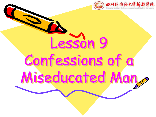

Lesson 9 Confessions of a Miseducated Man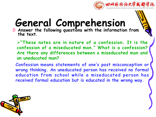

#### **General Comprehension**

Ü **Answer the following questions with the information from the text.**

Ø**"These notes are in nature of a confession. It is the confession of a miseducated man." What is a confession? Are there any differences between a miseducated man and an uneducated man?**

**Confession means statements of one ' s past misconception or wrong thinking. An uneducated person has received no formal education from school while a miseducated person has received formal education but is educated inthe wrong way.**

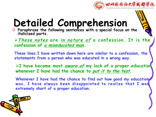

Ü **Paraphrase the following sentences with a special focus on the italicized parts.**

Ø**These notes are in nature of a confession. It is the confession of <sup>a</sup> miseducated man.**

**These lines I have written down here are similar to a confession, the statements from a person who was educated in a wrong way.**

Ø**I have become most aware of my lack of a proper education whenever I have had the chance to put it to the test.**

**Whenever I have had the chance to find out how good my education was, I have always been disappointed to realize that I was extremely short of a proper education.**

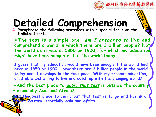

Ü **Paraphrase the following sentences with a special focus on the italicized parts.**

Ø**The test is a simple one: am <sup>I</sup> prepared to live and comprehend a world in which there are 3 billion people? Not the world as it was in 1850 or 1900, for which my education might have been adequate, but the world today.**

**I guess that my education would have been enough if the world had been in 1850 or 1900 . Now there are 3 billion people in the world today and it develops in the fast pace. With my present education, am I able and willing to live and catch up with the changing world?**

Ø**And the best place to apply that test is outside the country – especially Asia and Africa?**

**And the best place to carry out that test is to go and live in a foreign country, especially Asia and Africa.**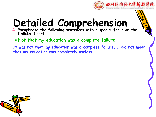

- Ü **Paraphrase the following sentences with a special focus on the italicized parts.**
	- Ø**Not that my education was a complete failure.**
- **It was not that my education was a complete failure. I did not mean that my education was completely useless.**

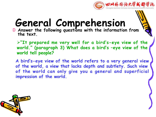

#### **General Comprehension**

Ü **Answer the following questions with the information from the text.**

Ø**"It prepared me very well for a bird' s-eye view of the world." (paragraph 3) What does a bird' s –eye view of the world tell people?**

**A bird' s-eye view of the world refers to a very general view of the world, a view that lacks depth and subtlety. Such view of the world can only give you a general and superficial impression of the world.**

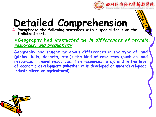

Ü **Paraphrase the following sentences with a special focus on the italicized parts.**

Ø**Geography had instructed me in differences of terrain, resources, and productivity.**

**Geography had taught me about differences in the type of land (plains, hills, deserts, etc.); the kind of resources (such as land resources, mineral resources, fish resources, etc); and in the level of economic development (whether it is developed or underdeveloped; industrialized or agricultural).**

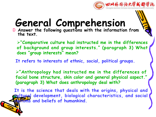

#### **General Comprehension**

Ü **Answer the following questions with the information from the text.**

Ø**"Comparative culture had instructed me in the differences of background and group interests." (paragraph 3) What does " group interests " mean?**

**It refers to interests of ethnic, social, political groups.**

Ø**"Anthropology had instructed me in the differences of facial bone structure, skin color and general physical aspect." (paragraph 3) What does anthropology deal with?**

**It is the science that deals with the origins, physical and cultural development, biological characteristics, and social customs and beliefs of humankind.**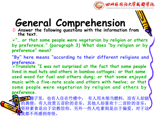

#### **General Comprehension**

Ü **Answer the following questions with the information from the text.**

Ø**"… or that some people were vegetarian by religion or others by preference." (paragraph 3) What does "by religion or by preference " mean?**

**"By " here means " according to their different religions and preference.** <sup>Ø</sup>**Translate "I was not surprised at the fact that some people**

**lived inmud huts and others in bamboo cottages; or that some used wood for fuel and others dung; or that some enjoyed music with a five-note scale and others with twelve; or that some people were vegetarian by religion and others by preference.**

有之比棚子里,也有人住在竹楼中; 有人用木柴当燃料,而有人却烧 的粪便;有人欣赏五音阶的音乐,其他人却喜欢十二音阶的音乐; 坚持素食是出于宗教信仰,另外一些人吃素则是出于偏爱。对于这 一切我都不再感到奇怪。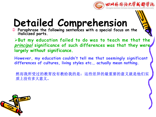

Ü **Paraphrase the following sentences with a special focus on the italicized parts.**

Ø**But my education failed to do was to teach me that the principal significance of such differences was that they were largely without significance.**

**However, my education couldn't tell me that seemingly significant differences of cultures, living styles etc., actually mean nothing.**

然而我所受过的教育没有教给我的是:这些差异的最重要的意义就是他们实 质上没有多大意义。

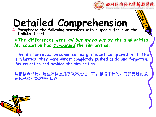

Ü **Paraphrase the following sentences with a special focus on the italicized parts.**

Ø**The differences were all but wiped out by the similarities. My education had by-passed the similarities.**

**The differences became so insignificant compared with the similarities, they were almost completely pushed aside and forgotten. My education had avoided the similarities.**

与相似点相比,这些不同点几乎微不足道,可以忽略不计的。而我受过的教 育却根本不提这些相似点。

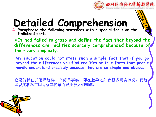

Ü **Paraphrase the following sentences with a special focus on the italicized parts.**

Ø**It had failed to grasp and define the fact that beyond the differences are realities scarcely comprehended because of their very simplicity.**

**My education could notstate such a simple fact that if you go beyond the differences you find realities or true facts that people hardly understand precisely because they are so simple and obvious.**

它没能抓住并阐释这样一个简单事实:即在差异之外有很多现实状况,而这 些现实状况正因为极其简单而很少被人们理解。

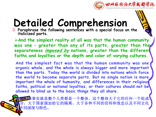

Ü **Paraphrase the following sentences with a special focus on the italicized parts.**

Ø**And the simplest reality of all was that the human community was one – greater than any of its parts, greater than the separateness imposed by nations, greater than the different faiths and loyalties or the depth and color of varying cultures.**

**And the simplest fact was that the human community was one organic whole, and the whole is always bigger and more important than the parts. Today the world is divided into nations which force the world to become separate parts. But no single nation is more important the whole of humanity, and differences in their religious faiths, political or national loyalties, or their cultures should not be allowed to blind us to the basic things they all share.**

勤事实就是整个人类都是一个整体,这个整体大于它的任何一个组成 部分,大于国家强加给它的隔离,大于各种不同的信仰和效忠以及不同文化 的不同深度与特色。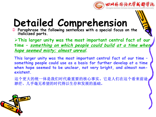

Ü **Paraphrase the following sentences with a special focus on the italicized parts.**

Ø**This larger unity was the most important central fact of our time – something on which people could build at <sup>a</sup> time when hope seemed misty; almost unreal.**

**This larger unity was the most important central fact of our time – something people could use as a basis for further develop at a time when hope seemed to be unclear, not very bright, and almost nonexistent.**

这个更大的统一体是我们时代最重要的核心事实。它是人们在这个看来前途 渺茫、几乎毫无希望的时代得以生存和发展的基础。

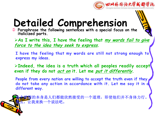

Ü **Paraphrase the following sentences with a special focus on the italicized parts.**

Ø**As I write this, I have the feeling that my words fail to give force to the idea they seek to express.**

**I have the feeling that my words are still not strong enough to express my ideas.**

Ø**Indeed, the idea is a truth which all peoples readily accept even if they do not act on it. Let me put it differently.**

**People from every nation are willing to accept the truth even if they do not take any action in accordance with it. Let me say it in a different way.**

全思想的本身是人们都能欣然接受的一个道理,即使他们并不身体力行。 那么,让我来换一个说法吧。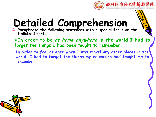

Ü **Paraphrase the following sentences with a special focus on the italicized parts.**

Ø**In order to be at home anywhere in the world I had to forget the things I had been taught to remember.**

**In order to feelat ease when I was travel any other places in the world, I had to forget the things my education had taught me to remember.**

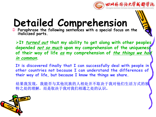

Ü **Paraphrase the following sentences with a special focus on the italicized parts.**

Ø**It turned out that my ability to get along with other peoples depended not so much upon my comprehension of the uniqueness of their way of life as my comprehension of the things we had in common.**

**It is discovered finally that I can successfully deal with people in other countries not because I can understand the differences of their way of life, but because I know the things we share.**

结果我发现,我能否与其他民族的人相处并不取决于我对他们生活方式的独 特之处的理解,而是取决于我对我们相通之处的认识。

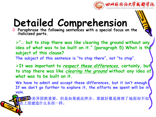

Ü **Paraphrase the following sentences with a special focus on the italicized parts.**

Ø**"… but to stop there was like clearing the ground without any idea of what was to be built on it." (paragraph 5) What is the subject of this clause?**

**The subject of this sentence is "to stop there ", not "to stop".**

Ø**It was important to respect these differences, certainly, but to stop there was like clearing the ground without any idea of what was to be built on it.**

**We have to admit and accept these differences, but it isn't enough. If we don't go further to explore it, the efforts we spent will be in vain.**

这些差异固然重要,但是如果就此停步,那就好像是清理了地面却不知 道在上面建造什么东西一样。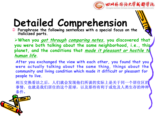

Ü **Paraphrase the following sentences with a special focus on the italicized parts.**

Ø**When you got through comparing notes, you discovered that you were both talking about the same neighborhood, i.e., this planet, and the conditions that made it pleasant or hostile to human life.**

**After you exchanged the view with each other, you found that you were actually talking about the same thing, things about the community and living condition which made it difficult or pleasant for people to live.**

相互交换看法之后,人们就会发现他们所谈的实际上是关于同一个居住区的 事情,也就是我们居住的这个星球,以及那些有利于或危及人类生存的种种 条件。

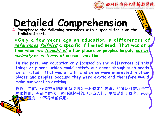

Ü **Paraphrase the following sentences with a special focus on the italicized parts.**

Ø**Only a few years ago an education in differences of references fulfilled a specific if limited need. That was at a time when we thought of other places or peoples largely out of curiosity or in terms of unusual vacations.**

**In the past, our education only focused on the differences of this things or places, which could satisfy our needs though such needs were limited. That was at a time when we were interested in other places and peoples because they were exotic and therefore would make our vacation exciting.**

仅仅几年前,强调差异的教育尚能满足一种特定的需求,尽管这种需求是有 局限性的。在那个时代,我们想起别的地方或人们,主要是出于好奇,或是 去那里度一个不寻常的假期。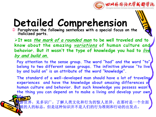

Ü **Paraphrase the following sentences with a special focus on the italicized parts.**

Ø**It was the mark of <sup>a</sup> rounded man to be well traveled and to know about the amazing variations of human culture and behavior. But it wasn't the type of knowledge you had to live by and build on.**

**Pay attention to the sense group. The word "had" and the word "to " belong to two different sense groups. The infinitive phrase "to live by and build on" is an attribute of the word "knowledge ".**

**The standard of a well-developed man should have a lot of traveling experiences and have the knowledge about amazing differences of human culture and behavior. But such knowledge you possess wasn't the thing you can depend on to make a living and develop your own**

周游世界,见多识广,了解人类文化和行为的惊人差异,在那时是一个全面 发展的人的标志。但是这种知识并不是人们的行为准则和行动的出发点。

**life.**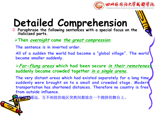

- Ü **Paraphrase the following sentences with a special focus on the italicized parts.**
	- Ø**Then overnight came the great compression.**

**The sentence is in inverted order.**

**All of a sudden the world had become a " global village ". The world became smaller suddenly.**

Ø**Far-flung areas which had been secure in their remoteness suddenly became crowded together in <sup>a</sup> single arena.**

**The very distant areas which had existed separately for a long time suddenly were brought on to a small and crowded stage. Modern transportation has shortened distances. Therefore no country is free from outside influence.**

当相距遥远、互不相扰的地区突然间都放在一个拥挤的舞台上。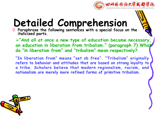

Ü **Paraphrase the following sentences with a special focus on the italicized parts.**

Ø**"And all at once a new type of education became necessary, an education in liberation from tribalism." (paragraph 7) What do "in liberation from" and "tribalism" mean respectively?**

**"In liberation from" means "set sb free ". "Tribalism" originally refers to behavior and attitudes that are based on strong loyalty to a tribe. Scholars believe that modern regionalism, racism, and nationalism are merely more refined forms of primitive tribalism.**

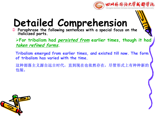

Ü **Paraphrase the following sentences with a special focus on the italicized parts.**

Ø**For tribalism had persisted from earlier times, though it had taken refined forms.**

**Tribalism emerged from earlier times, and existed till now. The form of tribalism has varied with the time.**

这种部落主义源自远古时代,直到现在也依然存在,尽管形式上有种种新的 包装。

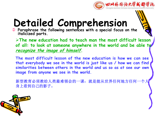

Ü **Paraphrase the following sentences with a special focus on the italicized parts.**

Ø**The new education had to teach man the most difficult lesson of all: to look at someone anywhere in the world and be able to recognize the image of himself.**

**The most difficult lesson of the new education is how we can see that everybody we see in the world is just like us / how we can find similarities between others in the world and us so as at see our own image from anyone we see in the world.**

新型教育必须教给人类最难领会的一课:就是能从世界任何地方任何 身上看到自己的影子。

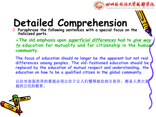

Ü **Paraphrase the following sentences with a special focus on the italicized parts.**

Ø**The old emphasis upon superficial differences had to give way to education for mutuality and for citizenship in the human community.**

**The focus of education should no longer be the apparent but not real differences among peoples. The old-fashioned education should be replaced by the education of mutual respect and understanding, the education on how to be a qualified citizen in the global community.**

以往对表面差异的重视必须让位于让人们懂得彼此相互依存、都是人类大家 庭的公民的教育。

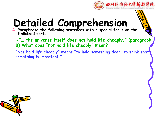

- Ü **Paraphrase the following sentences with a special focus on the italicized parts.**
	- Ø**"… the universe itself does not hold life cheaply." (paragraph 8) What does "not hold life cheaply " mean?**
	- **"Not hold life cheaply " means "to hold something dear, to think that something is important."**

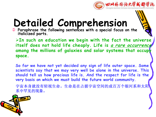

Ü **Paraphrase the following sentences with a special focus on the italicized parts.**

Ø**In such an education we begin with the fact the universe itself does not hold life cheaply. Life is <sup>a</sup> rare occurrence among the millions of galaxies and solar systems that occupy space.**

**So far we have not yet decided any sign of life outer space. Some scientists say that we may very well be alone in the universe. This should tell us how precious life is. And the respect for life is the very basis on which we must build the future world community.**

宇宙本身就没有轻视生命。生命是在占据宇宙空间的成百万个银河系和太阳 系中罕见的现象。

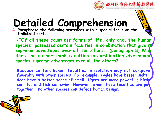

Ü **Paraphrase the following sentences with a special focus on the italicized parts.**

Ø**"Of all these countless forms of life, only one, the human species, possesses certain faculties in combination that give it supreme advantages over all the others." (paragraph 8) Why does the author think faculties in combination give human species supreme advantages over all the others?**

**Because certain human faculties in isolation may not compare favorably with other species. For example, eagles have better sight; dogs have a better sense of smell; tigers are more powerful; bird; can fly, and fish can swim. However, when these faculties are put together, no other species can defeat human beings.**

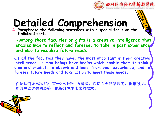

Ü **Paraphrase the following sentences with a special focus on the italicized parts.**

Ø**Among those faculties or gifts is a creative intelligence that enables man to reflect and foresee, to take in past experience, and also to visualize future needs.**

**Of all the faculties they have, the most important is their creative intelligence. Human beings have brains which enable them to think, plan and predict, to absorb and learn from past experience, and to foresee future needs and take action to meet these needs.**

在这些特质或天赋中有一种创造性的指挥,它使人类能够思考,能够预见, 能够总结过去的经验,能够想象出未来的需求。

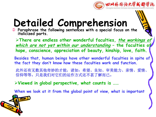

Ü **Paraphrase the following sentences with a special focus on the italicized parts.**

Ø**There are endless other wonderful faculties, the workings of which are not yet within our understanding – the faculties of hope, conscience, appreciation of beauty, kinship, love, faith.**

**Besides that, human beings have other wonderful faculties in spite of the fact they don't know how these faculties work and function.**

此外还有无数其他奇妙的才能,诸如:希望、良知、审美能力、亲情、爱情、 信仰等等。只是我们对它们的运作方式还不甚了解而已。

Ø**Viewed in global perspective, what counts is ……**

**When we look at it from the global point of view, what is important**

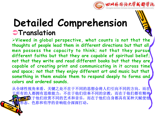

#### **Detailed Comprehension** Ü**Translation**

Ø**Viewed in global perspective, what counts is not that the thoughts of people lead them in different directions but that all men possess the capacity to think; not that they pursue different faiths but that they are capable of spiritual belief; not that they write and read different books but that they are capable of creating print and communicating in it across time and space; not that they enjoy different art and music but that something in them enable them to respond deeply to forms and colors and ordered sounds.**

从全球性视角来看,关键之处不在于不同的思想会将人们引向不同的方向,而在 于所有的人都拥有思维能力;不在于他们信奉不同的宗教,而在于他们都有精神 不在于他们的艺术和音乐,而在于他们自身都具有某种天赋使他 们被形态、色彩和有序的音响组合深深打动。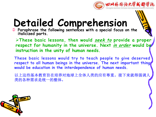

Ü **Paraphrase the following sentences with a special focus on the italicized parts.**

Ø**These basic lessons, then would seek to provide a proper respect for humanity in the universe. Next in order would be instruction in the unity of human needs.**

**These basic lessons would try to teach people to give deserved respect to all human beings in the universe. The next important thing would be education in the interdependence of human needs.**

以上这些基本教育旨在培养对地球上全体人类的应有尊重。接下来就得强调人 类的各种需求是统一的整体。

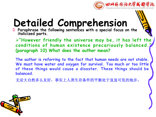

Ü **Paraphrase the following sentences with a special focus on the italicized parts.**

Ø**"However friendly the universe may be,it has left the conditions of human existence precariously balanced." (paragraph 10) What does the author mean?**

**The author is referring to the fact that human needs are not stable. We must have water and oxygen for survival. Too much or too little of these things would cause a disaster. These things should be balanced.**

无论大自然多么友好,事实上人类生存条件的平衡处于岌岌可危的地步。

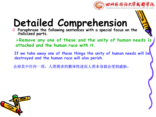

- Ü **Paraphrase the following sentences with a special focus on the italicized parts.**
	- Ø**Remove any one of these and the unity of human needs is attacked and the human race with it.**
	- **If we take away one of these things the unity of human needs will be destroyed and the human race will also perish.**

去掉其中任何一项,人类需求的整体性进而人类本身就会受到威胁。

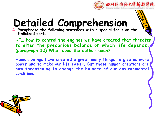

Ü **Paraphrase the following sentences with a special focus on the italicized parts.**

Ø**"… how to control the engines we have created that threaten to alter the precarious balance on which life depends." (paragraph 10) What does the author mean?**

**Human beings have created a great many things to give us more power and to make our life easier. But these human creations are now threatening to change the balance of our environmental conditions.**

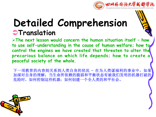

#### **Detailed Comprehension STranslation**

Ø**The next lesson would concern the human situation itself – how to use self-understanding in the cause of human welfare; how to control the engines we have created that threaten to alter the precarious balance on which life depends; how to create a peaceful society of the whole.**

下一项教育的内容则关系到人类自身的状况 **–** 在为人类谋福利的事业中,如果 加深对自身的理解;当生命所依赖的脆弱和平衡状态有被我们发明的机器打破的 危险时,如何控制这些机器;如何创建一个全人类的和平社会。

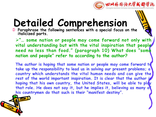

Ü **Paraphrase the following sentences with a special focus on the italicized parts.**

Ø**"… some nation or people may come forward not only with vital understanding but with the vital inspiration that people need no less than food." (paragraph 10) What does " some nation and people " refer to according to the author?**

**The author is hoping that some nation or people may come forward to take up the responsibility to lead us in solving our present problems; a country which understands the vital human needs and can give the rest of the world important inspiration. It is clear that the author is hoping that his own country, the United States, will be able to play that role. He does not say it, but he implies it, believing as many of his countrymen do that such is their "manifest destiny ".**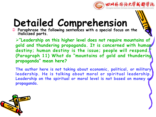

Ü **Paraphrase the following sentences with a special focus on the italicized parts.**

Ø**"Leadership on this higher level does not require mountains of gold and thundering propaganda. It is concerned with human destiny; human destiny is the issue; people will respond." (Paragraph 11) What do "mountains of gold and thundering propaganda " mean here?**

**The author here is not taking about economic, political, or military leadership. He is talking about moral or spiritual leadership. Leadership on the spiritual or moral level is not based on money or propaganda.**

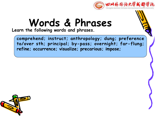

**Learn the following words and phrases.**

**comprehend; instruct; anthropology; dung; preference to/over sth; principal; by-pass; overnight; far-flung; refine; occurrence; visualize; precarious; impose;**

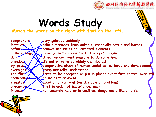

#### **Words Study**

**Match the words on the right with that on the left.**

**comprehend very quickly; suddenly instruct solid excrement from animals, especially cattle and horses refine remove impurities or unwanted elements anthropology make (something) visible to the eye; imagine dung direct** or command someone to do something **principal by-pass overnight far-flung force to be accepted or put in place; exert firm control over sth b** contract the set of the set of the set of the set of the set of the set of the set of the set of the set of the set of the set of the set of the set of the set of the set of the set of the set of the set of the set of **visualize avoid or circumvent (an obstacle or problem) precarious impose not securely held or in position; dangerously likely to falldistant or remote; widely distributed comparative study of human societies, cultures and development grasp mentally; understand first in order of importance; main**

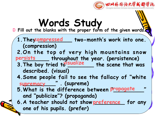

# **Words Study**

Ü **Fill out the blanks with the proper form of the given words.**

- 1. They compressed two-month's work into one. **(compression)**
- **2.On the top of very high mountains snow \_\_\_\_\_\_\_\_ throughout the year. (persistence) persists**
- **3. The boy tried to <b>EU ALLANGE EXECT THE scene that was described. (visual) visualize**
- **4.Some people fail to see the fallacy of " white \_\_\_\_\_\_\_\_\_\_" . (supreme) supremacy**
- **5.What is the difference between "\_\_\_\_\_\_\_\_\_" propagate and "publicize "? (propaganda)**
- **6.A teacher** should not show <u>preference</u> for any  $\int$ **one of his pupils. (prefer)**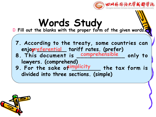

#### **Words Study** Ü **Fill out the blanks with the proper form of the given words. 7. According to the treaty, some countries can enjoy \_\_\_\_\_\_\_\_\_ tariff rates. (prefer) preferential 8. This document is \_\_\_\_\_\_\_\_\_\_\_\_\_ only to comprehensible lawyers. (comprehend) 9**. For the sake of implicity \_\_\_\_\_ the tax form is **divided into three sections. (simple)**

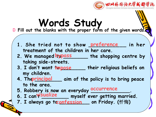

#### **Words Study** Ü **Fill out the blanks with the proper form of the given words.**

- 1. She tried not to show preference in her **treatment of the children in her care.**
- **2.** We managed **typass** the shopping centre by **taking side-streets.**
- **3**. **I** don't want **impose** \_\_\_\_\_ their religious beliefs on **my children.**
- **4. The <u>Principal</u>** aim of the policy is to bring peace **to the area.**
- **5. Robbery is now an everyday \_\_\_\_\_\_\_\_\_\_\_\_\_. occurrence**
- **6. I** canvisualize **we myself** ever getting married.
- **7. I always go to \_\_\_\_\_\_\_\_\_\_ on Friday. (**忏悔**) confession**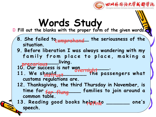

## **Words Study**

Ü **Fill out the blanks with the proper form of the given words.**

- **8**. She failed to the prehend the seriousness of the  $\left\{\right\}$ **situation.**
- **9. Before liberation I was always wandering with my** family from place to place, making a **\_\_\_\_\_\_\_\_\_\_\_\_living. precarious**

**10. Our success is not won \_\_\_\_\_\_\_\_\_.**

- 11. We shaw did the passengers what **customs regulations are. overnight instruct\_\_\_\_\_\_\_\_\_ the pas**
- **12. Thanksgiving, the third Thursday in November, is time for \_\_\_\_\_\_\_\_\_\_\_ families to join around a far-flung common table.**

**13**. Reading good books helpfine in the same one same  $\int$ **' s**  $\sqrt{ }$ **speech.**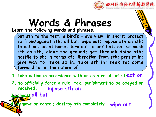

**Learn the following words and phrases.**

**put sth to the test; a bird' s – eye view; in short; protect sb from/against sth; all but; wipe out; impose sth on sth; to act on; be at home; turn out to be/that; not so much sth as sth; clear the ground; get through doing sth; hostile to sb; in terms of; liberation from sth; persist in; give way to; take sb in; take sth in; seek to; come forward to, in the nature of;**

- **1. take action in accordance with or as a result of sthact on**
- **2. to officially force a rule, tax, punishment to be obeyed or received. impose sth on**

**3. almost all but**

**4. remove or cancel; destroy sth completely wipe out**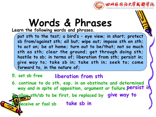

**Learn the following words and phrases.**

**put sth to the test; a bird' s – eye view; in short; protect sb from/against sth; all but; wipe out; impose sth on sth; to act on; be at home; turn out to be/that; not so much sth as sth; clear the ground; get through doing sth; hostile to sb; in terms of; liberation from sth; persist in; give way to; take sb in; take sth in; seek to; come forward to, in the nature of;**

#### **5. set sb free liberation from sth**

**6. continue to do sth, esp. in an obstinate and determined way and inspite of opposition, argument or failure.persist in**

**7. allow sth/sb to be first, be replaced by give way to**

**8. deceive or fool sb take sb in**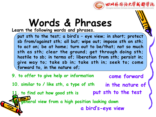

**Learn the following words and phrases.**

**put sth to the test; a bird' s – eye view; in short; protect sb from/against sth; all but; wipe out; impose sth on sth; to act on; be at home; turn out to be/that; not so much sth as sth; clear the ground; get through doing sth; hostile to sb; in terms of; liberation from sth; persist in; give way to; take sb in; take sth in; seek to; come forward to, in the nature of;**

**9. to offer to give help or information come forward 10. similar to / like sth,a type of sth in the nature of 11. to find out how good sth is put sth to the test 12. general view from a high position looking down a bird' s-eye view**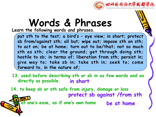

**Learn the following words and phrases.**

**put sth to the test; a bird' s – eye view; in short; protect sb from/against sth; all but; wipe out; impose sth on sth; to act on; be at home; turn out to be/that; not so much sth as sth; clear the ground; get through doing sth; hostile to sb; in terms of; liberation from sth; persist in; give way to; take sb in; take sth in; seek to; come forward to, in the nature of;**

**13. used before describing sth or sb in as few words and as directly as possible. in short**

**14. to keep sb or sth safe from injury, damage or loss protect sb against /from sth 15. at one's ease, as if one's own home be a be** at home